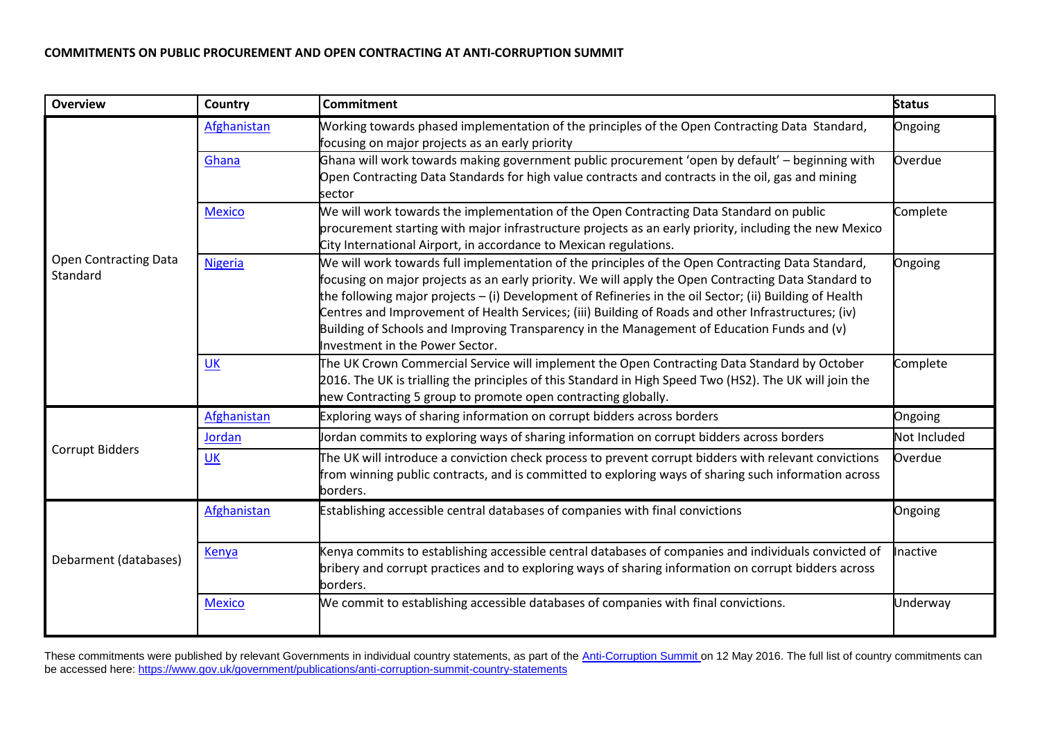## **COMMITMENTS ON PUBLIC PROCUREMENT AND OPEN CONTRACTING AT ANTI-CORRUPTION SUMMIT**

| <b>Overview</b>                          | Country        | <b>Commitment</b>                                                                                                                                                                                                                                                                                                                                                                                                                                                                                                                                             | <b>Status</b> |
|------------------------------------------|----------------|---------------------------------------------------------------------------------------------------------------------------------------------------------------------------------------------------------------------------------------------------------------------------------------------------------------------------------------------------------------------------------------------------------------------------------------------------------------------------------------------------------------------------------------------------------------|---------------|
| <b>Open Contracting Data</b><br>Standard | Afghanistan    | Working towards phased implementation of the principles of the Open Contracting Data Standard,<br>focusing on major projects as an early priority                                                                                                                                                                                                                                                                                                                                                                                                             | Ongoing       |
|                                          | Ghana          | Ghana will work towards making government public procurement 'open by default' - beginning with<br>Open Contracting Data Standards for high value contracts and contracts in the oil, gas and mining<br>sector                                                                                                                                                                                                                                                                                                                                                | Overdue       |
|                                          | <b>Mexico</b>  | We will work towards the implementation of the Open Contracting Data Standard on public<br>procurement starting with major infrastructure projects as an early priority, including the new Mexico<br>City International Airport, in accordance to Mexican regulations.                                                                                                                                                                                                                                                                                        | Complete      |
|                                          | <b>Nigeria</b> | We will work towards full implementation of the principles of the Open Contracting Data Standard,<br>focusing on major projects as an early priority. We will apply the Open Contracting Data Standard to<br>the following major projects - (i) Development of Refineries in the oil Sector; (ii) Building of Health<br>Centres and Improvement of Health Services; (iii) Building of Roads and other Infrastructures; (iv)<br>Building of Schools and Improving Transparency in the Management of Education Funds and (v)<br>Investment in the Power Sector. | Ongoing       |
|                                          | UK             | The UK Crown Commercial Service will implement the Open Contracting Data Standard by October<br>2016. The UK is trialling the principles of this Standard in High Speed Two (HS2). The UK will join the<br>new Contracting 5 group to promote open contracting globally.                                                                                                                                                                                                                                                                                      | Complete      |
|                                          | Afghanistan    | Exploring ways of sharing information on corrupt bidders across borders                                                                                                                                                                                                                                                                                                                                                                                                                                                                                       | Ongoing       |
| <b>Corrupt Bidders</b>                   | Jordan         | Jordan commits to exploring ways of sharing information on corrupt bidders across borders                                                                                                                                                                                                                                                                                                                                                                                                                                                                     | Not Included  |
|                                          | UK             | The UK will introduce a conviction check process to prevent corrupt bidders with relevant convictions<br>from winning public contracts, and is committed to exploring ways of sharing such information across<br>borders.                                                                                                                                                                                                                                                                                                                                     | Overdue       |
| Debarment (databases)                    | Afghanistan    | Establishing accessible central databases of companies with final convictions                                                                                                                                                                                                                                                                                                                                                                                                                                                                                 | Ongoing       |
|                                          | <b>Kenya</b>   | Kenya commits to establishing accessible central databases of companies and individuals convicted of<br>bribery and corrupt practices and to exploring ways of sharing information on corrupt bidders across<br>borders.                                                                                                                                                                                                                                                                                                                                      | Inactive      |
|                                          | <b>Mexico</b>  | We commit to establishing accessible databases of companies with final convictions.                                                                                                                                                                                                                                                                                                                                                                                                                                                                           | Underway      |

These commitments were published by relevant Governments in individual country statements, as part of the [Anti-Corruption Summit](https://www.gov.uk/government/topical-events/anti-corruption-summit-london-2016) on 12 May 2016. The full list of country commitments can be accessed here:<https://www.gov.uk/government/publications/anti-corruption-summit-country-statements>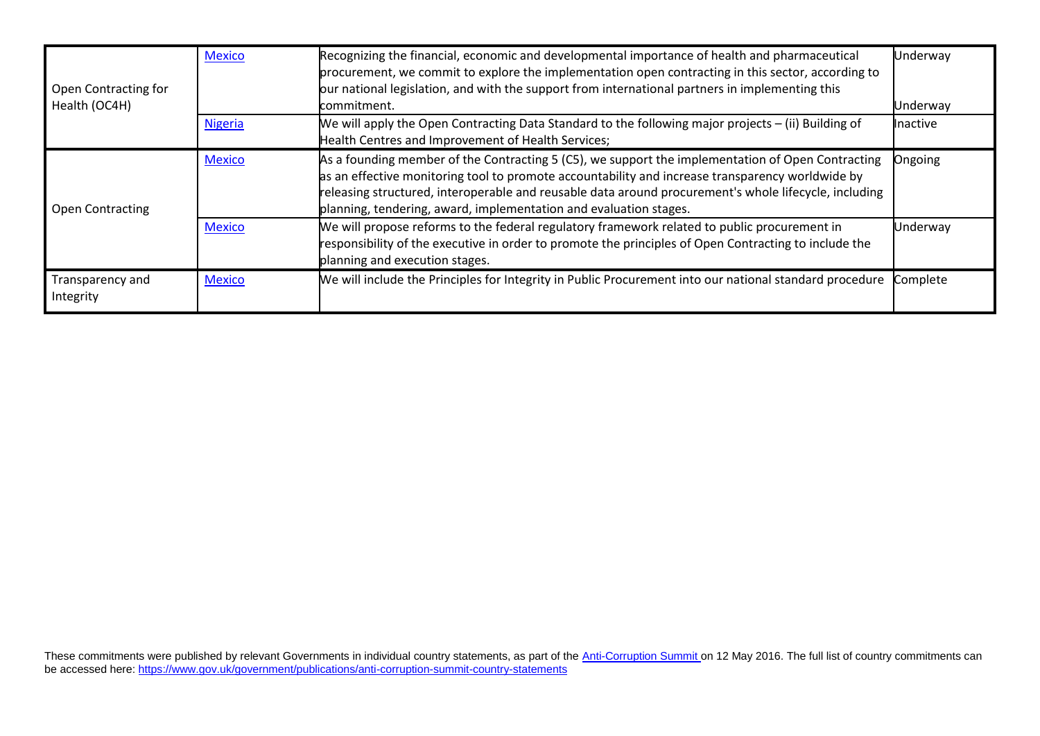| <b>Open Contracting for</b><br>Health (OC4H) | <b>Mexico</b>  | Recognizing the financial, economic and developmental importance of health and pharmaceutical<br>procurement, we commit to explore the implementation open contracting in this sector, according to<br>our national legislation, and with the support from international partners in implementing this<br>commitment.                                                               | Underway<br>Underway |
|----------------------------------------------|----------------|-------------------------------------------------------------------------------------------------------------------------------------------------------------------------------------------------------------------------------------------------------------------------------------------------------------------------------------------------------------------------------------|----------------------|
|                                              | <b>Nigeria</b> | We will apply the Open Contracting Data Standard to the following major projects – (ii) Building of<br>Health Centres and Improvement of Health Services;                                                                                                                                                                                                                           | <b>Inactive</b>      |
| <b>Open Contracting</b>                      | <b>Mexico</b>  | As a founding member of the Contracting 5 (C5), we support the implementation of Open Contracting<br>as an effective monitoring tool to promote accountability and increase transparency worldwide by<br>releasing structured, interoperable and reusable data around procurement's whole lifecycle, including<br>planning, tendering, award, implementation and evaluation stages. | Ongoing              |
|                                              | <b>Mexico</b>  | We will propose reforms to the federal regulatory framework related to public procurement in<br>responsibility of the executive in order to promote the principles of Open Contracting to include the<br>planning and execution stages.                                                                                                                                             | Underway             |
| Transparency and<br>Integrity                | <b>Mexico</b>  | We will include the Principles for Integrity in Public Procurement into our national standard procedure                                                                                                                                                                                                                                                                             | Complete             |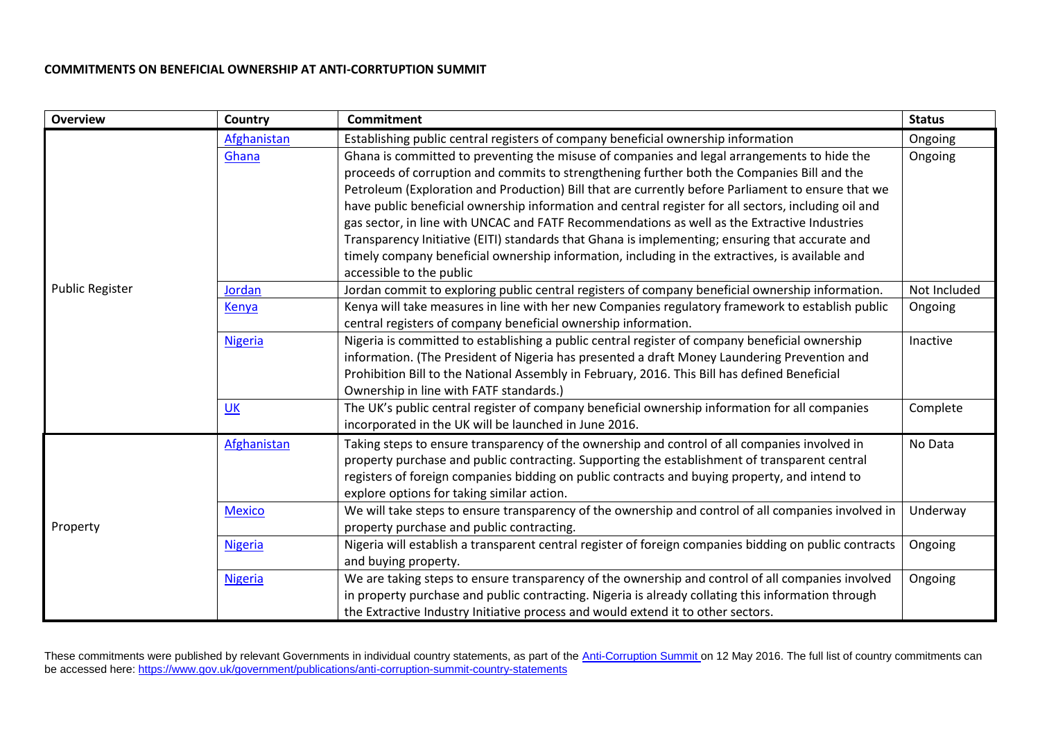## **COMMITMENTS ON BENEFICIAL OWNERSHIP AT ANTI-CORRTUPTION SUMMIT**

| <b>Overview</b>        | Country        | <b>Commitment</b>                                                                                      | <b>Status</b> |
|------------------------|----------------|--------------------------------------------------------------------------------------------------------|---------------|
|                        | Afghanistan    | Establishing public central registers of company beneficial ownership information                      | Ongoing       |
|                        | Ghana          | Ghana is committed to preventing the misuse of companies and legal arrangements to hide the            | Ongoing       |
|                        |                | proceeds of corruption and commits to strengthening further both the Companies Bill and the            |               |
|                        |                | Petroleum (Exploration and Production) Bill that are currently before Parliament to ensure that we     |               |
|                        |                | have public beneficial ownership information and central register for all sectors, including oil and   |               |
|                        |                | gas sector, in line with UNCAC and FATF Recommendations as well as the Extractive Industries           |               |
|                        |                | Transparency Initiative (EITI) standards that Ghana is implementing; ensuring that accurate and        |               |
|                        |                | timely company beneficial ownership information, including in the extractives, is available and        |               |
|                        |                | accessible to the public                                                                               |               |
| <b>Public Register</b> | Jordan         | Jordan commit to exploring public central registers of company beneficial ownership information.       | Not Included  |
|                        | Kenya          | Kenya will take measures in line with her new Companies regulatory framework to establish public       | Ongoing       |
|                        |                | central registers of company beneficial ownership information.                                         |               |
|                        | <b>Nigeria</b> | Nigeria is committed to establishing a public central register of company beneficial ownership         | Inactive      |
|                        |                | information. (The President of Nigeria has presented a draft Money Laundering Prevention and           |               |
|                        |                | Prohibition Bill to the National Assembly in February, 2016. This Bill has defined Beneficial          |               |
|                        |                | Ownership in line with FATF standards.)                                                                |               |
|                        | UK             | The UK's public central register of company beneficial ownership information for all companies         | Complete      |
|                        |                | incorporated in the UK will be launched in June 2016.                                                  |               |
|                        | Afghanistan    | Taking steps to ensure transparency of the ownership and control of all companies involved in          | No Data       |
|                        |                | property purchase and public contracting. Supporting the establishment of transparent central          |               |
|                        |                | registers of foreign companies bidding on public contracts and buying property, and intend to          |               |
|                        |                | explore options for taking similar action.                                                             |               |
|                        | <b>Mexico</b>  | We will take steps to ensure transparency of the ownership and control of all companies involved in    | Underway      |
| Property               |                | property purchase and public contracting.                                                              |               |
|                        | <b>Nigeria</b> | Nigeria will establish a transparent central register of foreign companies bidding on public contracts | Ongoing       |
|                        |                | and buying property.                                                                                   |               |
|                        | <b>Nigeria</b> | We are taking steps to ensure transparency of the ownership and control of all companies involved      | Ongoing       |
|                        |                | in property purchase and public contracting. Nigeria is already collating this information through     |               |
|                        |                | the Extractive Industry Initiative process and would extend it to other sectors.                       |               |

These commitments were published by relevant Governments in individual country statements, as part of the [Anti-Corruption Summit](https://www.gov.uk/government/topical-events/anti-corruption-summit-london-2016) on 12 May 2016. The full list of country commitments can be accessed here:<https://www.gov.uk/government/publications/anti-corruption-summit-country-statements>